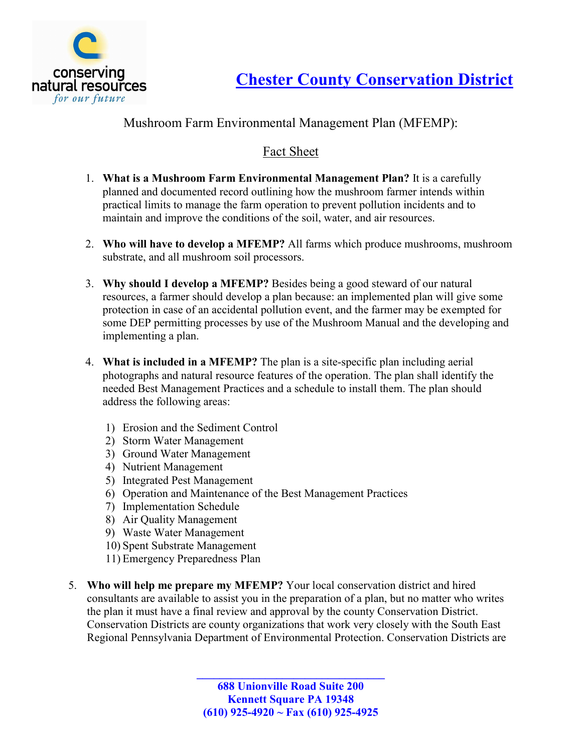

## Mushroom Farm Environmental Management Plan (MFEMP):

## Fact Sheet

- 1. What is a Mushroom Farm Environmental Management Plan? It is a carefully planned and documented record outlining how the mushroom farmer intends within practical limits to manage the farm operation to prevent pollution incidents and to maintain and improve the conditions of the soil, water, and air resources.
- 2. Who will have to develop a MFEMP? All farms which produce mushrooms, mushroom substrate, and all mushroom soil processors.
- 3. Why should I develop a MFEMP? Besides being a good steward of our natural resources, a farmer should develop a plan because: an implemented plan will give some protection in case of an accidental pollution event, and the farmer may be exempted for some DEP permitting processes by use of the Mushroom Manual and the developing and implementing a plan.
- 4. What is included in a MFEMP? The plan is a site-specific plan including aerial photographs and natural resource features of the operation. The plan shall identify the needed Best Management Practices and a schedule to install them. The plan should address the following areas:
	- 1) Erosion and the Sediment Control
	- 2) Storm Water Management
	- 3) Ground Water Management
	- 4) Nutrient Management
	- 5) Integrated Pest Management
	- 6) Operation and Maintenance of the Best Management Practices
	- 7) Implementation Schedule
	- 8) Air Quality Management
	- 9) Waste Water Management
	- 10) Spent Substrate Management
	- 11) Emergency Preparedness Plan
- 5. Who will help me prepare my MFEMP? Your local conservation district and hired consultants are available to assist you in the preparation of a plan, but no matter who writes the plan it must have a final review and approval by the county Conservation District. Conservation Districts are county organizations that work very closely with the South East Regional Pennsylvania Department of Environmental Protection. Conservation Districts are

\_\_\_\_\_\_\_\_\_\_\_\_\_\_\_\_\_\_\_\_\_\_\_\_\_\_\_\_\_\_\_\_\_ 688 Unionville Road Suite 200 Kennett Square PA 19348 (610) 925-4920 ~ Fax (610) 925-4925